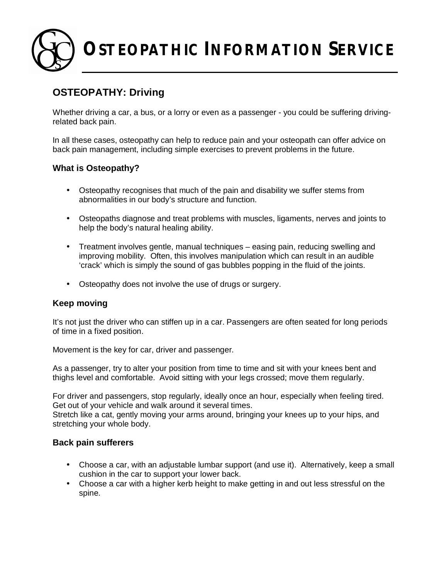**OSTEOPATHIC INFORMATION SERVICE**

# **OSTEOPATHY: Driving**

Whether driving a car, a bus, or a lorry or even as a passenger - you could be suffering drivingrelated back pain.

In all these cases, osteopathy can help to reduce pain and your osteopath can offer advice on back pain management, including simple exercises to prevent problems in the future.

# **What is Osteopathy?**

- Osteopathy recognises that much of the pain and disability we suffer stems from abnormalities in our body's structure and function.
- Osteopaths diagnose and treat problems with muscles, ligaments, nerves and joints to help the body's natural healing ability.
- Treatment involves gentle, manual techniques easing pain, reducing swelling and improving mobility. Often, this involves manipulation which can result in an audible 'crack' which is simply the sound of gas bubbles popping in the fluid of the joints.
- Osteopathy does not involve the use of drugs or surgery.

# **Keep moving**

It's not just the driver who can stiffen up in a car. Passengers are often seated for long periods of time in a fixed position.

Movement is the key for car, driver and passenger.

As a passenger, try to alter your position from time to time and sit with your knees bent and thighs level and comfortable. Avoid sitting with your legs crossed; move them regularly.

For driver and passengers, stop regularly, ideally once an hour, especially when feeling tired. Get out of your vehicle and walk around it several times.

Stretch like a cat, gently moving your arms around, bringing your knees up to your hips, and stretching your whole body.

# **Back pain sufferers**

- Choose a car, with an adjustable lumbar support (and use it). Alternatively, keep a small cushion in the car to support your lower back.
- Choose a car with a higher kerb height to make getting in and out less stressful on the spine.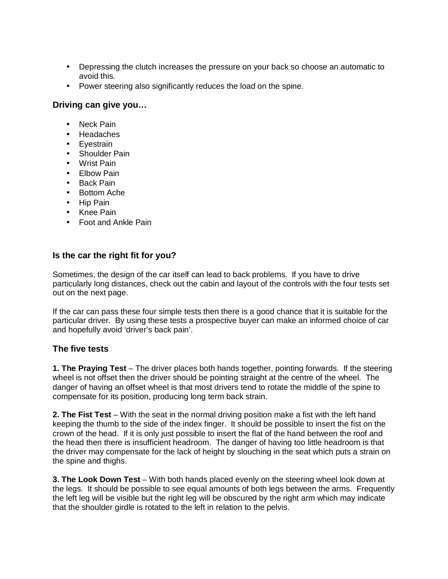- Depressing the clutch increases the pressure on your back so choose an automatic to avoid this.
- Power steering also significantly reduces the load on the spine.

### **Driving can give you…**

- Neck Pain
- Headaches
- Eyestrain
- Shoulder Pain
- Wrist Pain
- Elbow Pain
- Back Pain
- Bottom Ache
- Hip Pain
- Knee Pain
- Foot and Ankle Pain

# **Is the car the right fit for you?**

Sometimes, the design of the car itself can lead to back problems. If you have to drive particularly long distances, check out the cabin and layout of the controls with the four tests set out on the next page.

If the car can pass these four simple tests then there is a good chance that it is suitable for the particular driver. By using these tests a prospective buyer can make an informed choice of car and hopefully avoid 'driver's back pain'.

# **The five tests**

**1. The Praying Test** – The driver places both hands together, pointing forwards. If the steering wheel is not offset then the driver should be pointing straight at the centre of the wheel. The danger of having an offset wheel is that most drivers tend to rotate the middle of the spine to compensate for its position, producing long term back strain.

**2. The Fist Test** – With the seat in the normal driving position make a fist with the left hand keeping the thumb to the side of the index finger. It should be possible to insert the fist on the crown of the head. If it is only just possible to insert the flat of the hand between the roof and the head then there is insufficient headroom. The danger of having too little headroom is that the driver may compensate for the lack of height by slouching in the seat which puts a strain on the spine and thighs.

**3. The Look Down Test** – With both hands placed evenly on the steering wheel look down at the legs. It should be possible to see equal amounts of both legs between the arms. Frequently the left leg will be visible but the right leg will be obscured by the right arm which may indicate that the shoulder girdle is rotated to the left in relation to the pelvis.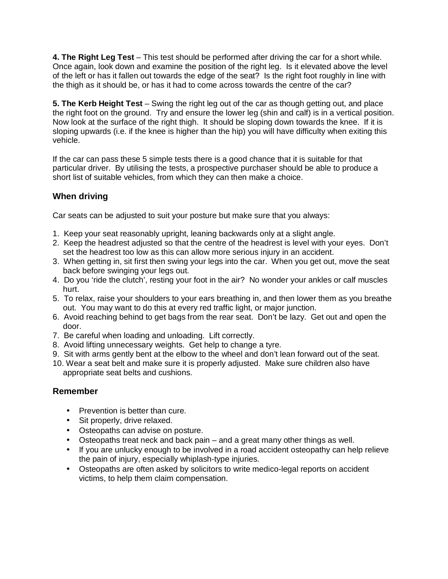**4. The Right Leg Test** – This test should be performed after driving the car for a short while. Once again, look down and examine the position of the right leg. Is it elevated above the level of the left or has it fallen out towards the edge of the seat? Is the right foot roughly in line with the thigh as it should be, or has it had to come across towards the centre of the car?

**5. The Kerb Height Test** – Swing the right leg out of the car as though getting out, and place the right foot on the ground. Try and ensure the lower leg (shin and calf) is in a vertical position. Now look at the surface of the right thigh. It should be sloping down towards the knee. If it is sloping upwards (i.e. if the knee is higher than the hip) you will have difficulty when exiting this vehicle.

If the car can pass these 5 simple tests there is a good chance that it is suitable for that particular driver. By utilising the tests, a prospective purchaser should be able to produce a short list of suitable vehicles, from which they can then make a choice.

# **When driving**

Car seats can be adjusted to suit your posture but make sure that you always:

- 1. Keep your seat reasonably upright, leaning backwards only at a slight angle.
- 2. Keep the headrest adjusted so that the centre of the headrest is level with your eyes. Don't set the headrest too low as this can allow more serious injury in an accident.
- 3. When getting in, sit first then swing your legs into the car. When you get out, move the seat back before swinging your legs out.
- 4. Do you 'ride the clutch', resting your foot in the air? No wonder your ankles or calf muscles hurt.
- 5. To relax, raise your shoulders to your ears breathing in, and then lower them as you breathe out. You may want to do this at every red traffic light, or major junction.
- 6. Avoid reaching behind to get bags from the rear seat. Don't be lazy. Get out and open the door.
- 7. Be careful when loading and unloading. Lift correctly.
- 8. Avoid lifting unnecessary weights. Get help to change a tyre.
- 9. Sit with arms gently bent at the elbow to the wheel and don't lean forward out of the seat.
- 10. Wear a seat belt and make sure it is properly adjusted. Make sure children also have appropriate seat belts and cushions.

# **Remember**

- Prevention is better than cure.
- Sit properly, drive relaxed.
- Osteopaths can advise on posture.
- Osteopaths treat neck and back pain and a great many other things as well.
- If you are unlucky enough to be involved in a road accident osteopathy can help relieve the pain of injury, especially whiplash-type injuries.
- Osteopaths are often asked by solicitors to write medico-legal reports on accident victims, to help them claim compensation.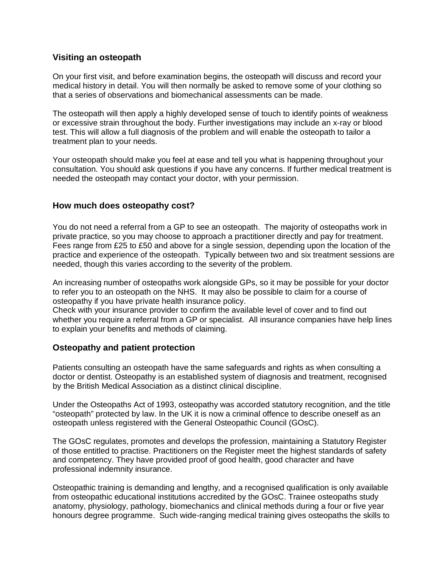### **Visiting an osteopath**

On your first visit, and before examination begins, the osteopath will discuss and record your medical history in detail. You will then normally be asked to remove some of your clothing so that a series of observations and biomechanical assessments can be made.

The osteopath will then apply a highly developed sense of touch to identify points of weakness or excessive strain throughout the body. Further investigations may include an x-ray or blood test. This will allow a full diagnosis of the problem and will enable the osteopath to tailor a treatment plan to your needs.

Your osteopath should make you feel at ease and tell you what is happening throughout your consultation. You should ask questions if you have any concerns. If further medical treatment is needed the osteopath may contact your doctor, with your permission.

#### **How much does osteopathy cost?**

You do not need a referral from a GP to see an osteopath. The majority of osteopaths work in private practice, so you may choose to approach a practitioner directly and pay for treatment. Fees range from £25 to £50 and above for a single session, depending upon the location of the practice and experience of the osteopath. Typically between two and six treatment sessions are needed, though this varies according to the severity of the problem.

An increasing number of osteopaths work alongside GPs, so it may be possible for your doctor to refer you to an osteopath on the NHS. It may also be possible to claim for a course of osteopathy if you have private health insurance policy.

Check with your insurance provider to confirm the available level of cover and to find out whether you require a referral from a GP or specialist. All insurance companies have help lines to explain your benefits and methods of claiming.

#### **Osteopathy and patient protection**

Patients consulting an osteopath have the same safeguards and rights as when consulting a doctor or dentist. Osteopathy is an established system of diagnosis and treatment, recognised by the British Medical Association as a distinct clinical discipline.

Under the Osteopaths Act of 1993, osteopathy was accorded statutory recognition, and the title "osteopath" protected by law. In the UK it is now a criminal offence to describe oneself as an osteopath unless registered with the General Osteopathic Council (GOsC).

The GOsC regulates, promotes and develops the profession, maintaining a Statutory Register of those entitled to practise. Practitioners on the Register meet the highest standards of safety and competency. They have provided proof of good health, good character and have professional indemnity insurance.

Osteopathic training is demanding and lengthy, and a recognised qualification is only available from osteopathic educational institutions accredited by the GOsC. Trainee osteopaths study anatomy, physiology, pathology, biomechanics and clinical methods during a four or five year honours degree programme. Such wide-ranging medical training gives osteopaths the skills to